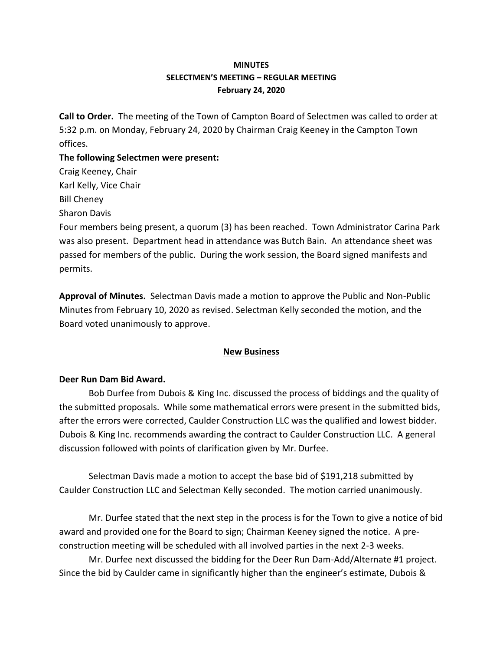# **MINUTES SELECTMEN'S MEETING – REGULAR MEETING February 24, 2020**

**Call to Order.** The meeting of the Town of Campton Board of Selectmen was called to order at 5:32 p.m. on Monday, February 24, 2020 by Chairman Craig Keeney in the Campton Town offices.

**The following Selectmen were present:**  Craig Keeney, Chair Karl Kelly, Vice Chair Bill Cheney Sharon Davis Four members being present, a quorum (3) has been reached.Town Administrator Carina Park was also present. Department head in attendance was Butch Bain. An attendance sheet was passed for members of the public. During the work session, the Board signed manifests and permits.

**Approval of Minutes.** Selectman Davis made a motion to approve the Public and Non-Public Minutes from February 10, 2020 as revised. Selectman Kelly seconded the motion, and the Board voted unanimously to approve.

## **New Business**

## **Deer Run Dam Bid Award.**

Bob Durfee from Dubois & King Inc. discussed the process of biddings and the quality of the submitted proposals. While some mathematical errors were present in the submitted bids, after the errors were corrected, Caulder Construction LLC was the qualified and lowest bidder. Dubois & King Inc. recommends awarding the contract to Caulder Construction LLC. A general discussion followed with points of clarification given by Mr. Durfee.

Selectman Davis made a motion to accept the base bid of \$191,218 submitted by Caulder Construction LLC and Selectman Kelly seconded. The motion carried unanimously.

Mr. Durfee stated that the next step in the process is for the Town to give a notice of bid award and provided one for the Board to sign; Chairman Keeney signed the notice. A preconstruction meeting will be scheduled with all involved parties in the next 2-3 weeks.

Mr. Durfee next discussed the bidding for the Deer Run Dam-Add/Alternate #1 project. Since the bid by Caulder came in significantly higher than the engineer's estimate, Dubois &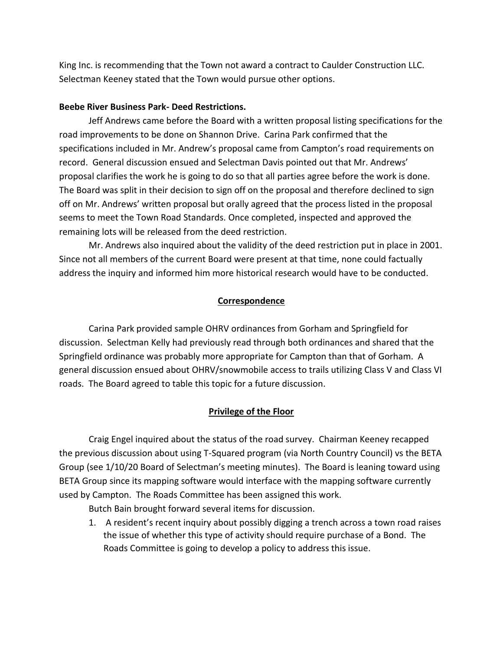King Inc. is recommending that the Town not award a contract to Caulder Construction LLC. Selectman Keeney stated that the Town would pursue other options.

#### **Beebe River Business Park- Deed Restrictions.**

Jeff Andrews came before the Board with a written proposal listing specifications for the road improvements to be done on Shannon Drive. Carina Park confirmed that the specifications included in Mr. Andrew's proposal came from Campton's road requirements on record. General discussion ensued and Selectman Davis pointed out that Mr. Andrews' proposal clarifies the work he is going to do so that all parties agree before the work is done. The Board was split in their decision to sign off on the proposal and therefore declined to sign off on Mr. Andrews' written proposal but orally agreed that the process listed in the proposal seems to meet the Town Road Standards. Once completed, inspected and approved the remaining lots will be released from the deed restriction.

Mr. Andrews also inquired about the validity of the deed restriction put in place in 2001. Since not all members of the current Board were present at that time, none could factually address the inquiry and informed him more historical research would have to be conducted.

### **Correspondence**

Carina Park provided sample OHRV ordinances from Gorham and Springfield for discussion. Selectman Kelly had previously read through both ordinances and shared that the Springfield ordinance was probably more appropriate for Campton than that of Gorham. A general discussion ensued about OHRV/snowmobile access to trails utilizing Class V and Class VI roads. The Board agreed to table this topic for a future discussion.

### **Privilege of the Floor**

Craig Engel inquired about the status of the road survey. Chairman Keeney recapped the previous discussion about using T-Squared program (via North Country Council) vs the BETA Group (see 1/10/20 Board of Selectman's meeting minutes). The Board is leaning toward using BETA Group since its mapping software would interface with the mapping software currently used by Campton. The Roads Committee has been assigned this work.

Butch Bain brought forward several items for discussion.

1. A resident's recent inquiry about possibly digging a trench across a town road raises the issue of whether this type of activity should require purchase of a Bond. The Roads Committee is going to develop a policy to address this issue.